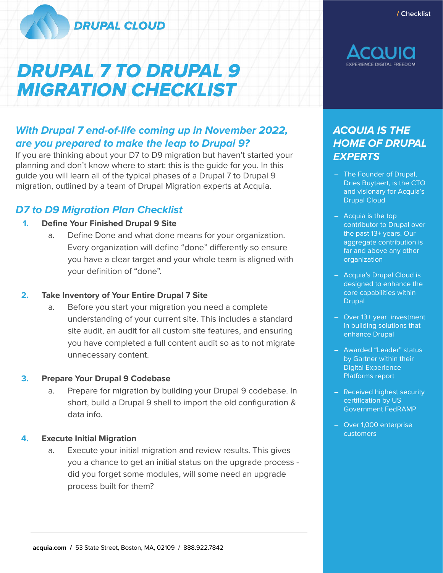

# DRUPAL 7 TO DRUPAL 9 MIGRATION CHECKLIST

/ **Checklist**



# **With Drupal 7 end-of-life coming up in November 2022, are you prepared to make the leap to Drupal 9?**

If you are thinking about your D7 to D9 migration but haven't started your planning and don't know where to start: this is the guide for you. In this guide you will learn all of the typical phases of a Drupal 7 to Drupal 9 migration, outlined by a team of Drupal Migration experts at Acquia.

# **D7 to D9 Migration Plan Checklist**

#### **1. Define Your Finished Drupal 9 Site**

a. Define Done and what done means for your organization. Every organization will define "done" differently so ensure you have a clear target and your whole team is aligned with your definition of "done".

### **2. Take Inventory of Your Entire Drupal 7 Site**

a. Before you start your migration you need a complete understanding of your current site. This includes a standard site audit, an audit for all custom site features, and ensuring you have completed a full content audit so as to not migrate unnecessary content.

#### **3. Prepare Your Drupal 9 Codebase**

a. Prepare for migration by building your Drupal 9 codebase. In short, build a Drupal 9 shell to import the old configuration & data info.

#### **4. Execute Initial Migration**

a. Execute your initial migration and review results. This gives you a chance to get an initial status on the upgrade process did you forget some modules, will some need an upgrade process built for them?

# **ACQUIA IS THE HOME OF DRUPAL EXPERTS**

- The Founder of Drupal, Dries Buytaert, is the CTO and visionary for Acquia's Drupal Cloud
- Acquia is the top contributor to Drupal over the past 13+ years. Our aggregate contribution is far and above any other organization
- Acquia's Drupal Cloud is designed to enhance the core capabilities within Drupal
- Over 13+ year investment in building solutions that enhance Drupal
- Awarded "Leader" status by Gartner within their Digital Experience Platforms report
- Received highest security certification by US Government FedRAMP
- Over 1,000 enterprise customers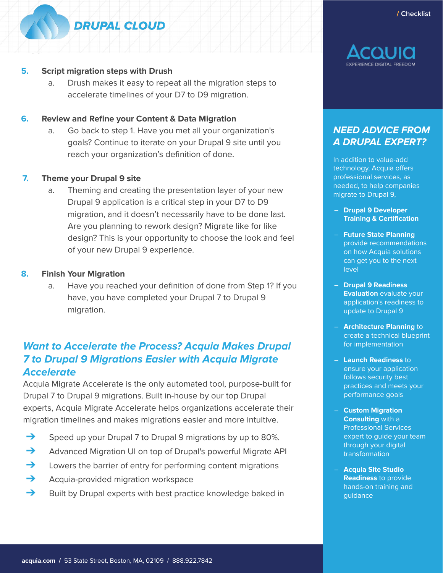# **DRUPAL CLOUD**

#### **5. Script migration steps with Drush**

a. Drush makes it easy to repeat all the migration steps to accelerate timelines of your D7 to D9 migration.

#### **6. Review and Refine your Content & Data Migration**

a. Go back to step 1. Have you met all your organization's goals? Continue to iterate on your Drupal 9 site until you reach your organization's definition of done.

#### **7. Theme your Drupal 9 site**

a. Theming and creating the presentation layer of your new Drupal 9 application is a critical step in your D7 to D9 migration, and it doesn't necessarily have to be done last. Are you planning to rework design? Migrate like for like design? This is your opportunity to choose the look and feel of your new Drupal 9 experience.

#### **8. Finish Your Migration**

a. Have you reached your definition of done from Step 1? If you have, you have completed your Drupal 7 to Drupal 9 migration.

# **Want to Accelerate the Process? Acquia Makes Drupal 7 to Drupal 9 Migrations Easier with Acquia Migrate Accelerate**

Acquia Migrate Accelerate is the only automated tool, purpose-built for Drupal 7 to Drupal 9 migrations. Built in-house by our top Drupal experts, Acquia Migrate Accelerate helps organizations accelerate their migration timelines and makes migrations easier and more intuitive.

- ➔ Speed up your Drupal 7 to Drupal 9 migrations by up to 80%.
- **→** Advanced Migration UI on top of Drupal's powerful Migrate API
- $\rightarrow$  Lowers the barrier of entry for performing content migrations
- **→** Acquia-provided migration workspace
- $\rightarrow$  Built by Drupal experts with best practice knowledge baked in



# **NEED ADVICE FROM A DRUPAL EXPERT?**

In addition to value-add technology, Acquia offers professional services, as needed, to help companies migrate to Drupal 9,

- **– Drupal 9 Developer Training & Certification**
- **Future State Planning**  provide recommendations on how Acquia solutions can get you to the next level
- **Drupal 9 Readiness Evaluation** evaluate your application's readiness to update to Drupal 9
- **Architecture Planning** to create a technical blueprint for implementation
- **Launch Readiness** to ensure your application follows security best practices and meets your performance goals
- **Custom Migration Consulting** with a Professional Services expert to guide your team through your digital transformation
- **Acquia Site Studio Readiness** to provide hands-on training and guidance